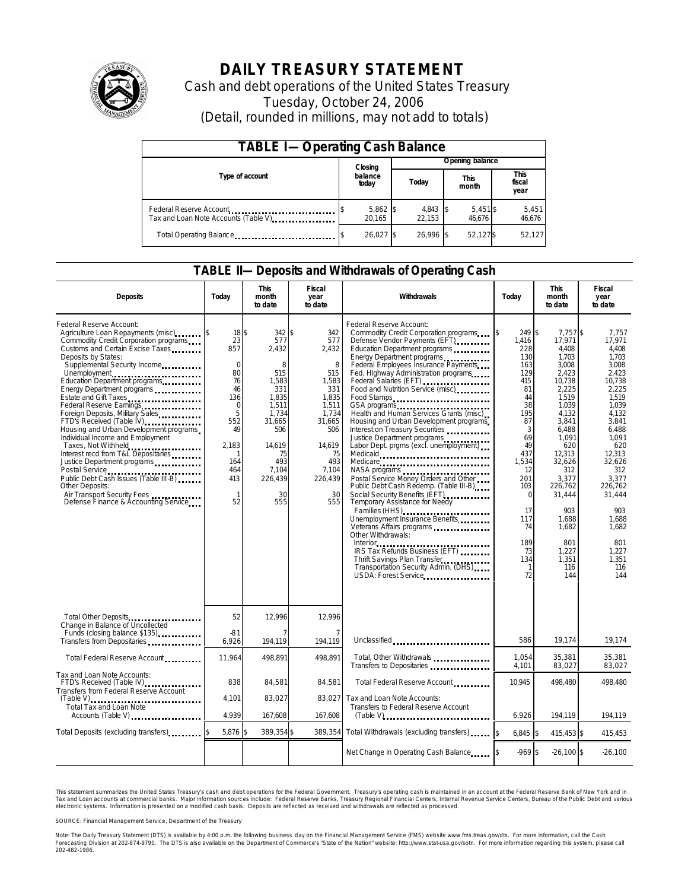

# **DAILY TREASURY STATEMENT**

Cash and debt operations of the United States Treasury Tuesday, October 24, 2006 (Detail, rounded in millions, may not add to totals)

| <b>TABLE I-Operating Cash Balance</b>                            |                  |                      |       |                 |                      |                      |                               |                 |  |
|------------------------------------------------------------------|------------------|----------------------|-------|-----------------|----------------------|----------------------|-------------------------------|-----------------|--|
|                                                                  |                  | Closing              |       | Opening balance |                      |                      |                               |                 |  |
| Type of account                                                  | balance<br>today |                      | Today |                 | <b>This</b><br>month |                      | <b>This</b><br>fiscal<br>year |                 |  |
| Federal Reserve Account<br>Tax and Loan Note Accounts (Table V). |                  | $5,862$ \$<br>20.165 |       | 4,843<br>22.153 |                      | $5,451$ \$<br>46.676 |                               | 5,451<br>46,676 |  |
| Total Operating Balance                                          |                  | 26.027 \$            |       | 26.996          |                      | 52.127\$             |                               | 52.127          |  |

### **TABLE II—Deposits and Withdrawals of Operating Cash**

| <b>Deposits</b>                                                                                                                                                                                                                                                                                                                                                                                                                                                                                                                                                                                                                                                                                                           | Today                                                                                                                                          | <b>This</b><br>month<br>to date                                                                                                                        | Fiscal<br>year<br>to date                                                                                                                           | Withdrawals                                                                                                                                                                                                                                                                                                                                                                                                                                                                                                                                                                                                                                                                                                                                                                                                                                                                                                | Today                                                                                                                                                                                                 | <b>This</b><br>month<br>to date                                                                                                                                                                                                                                 | <b>Fiscal</b><br>year<br>to date                                                                                                                                                                                                                             |
|---------------------------------------------------------------------------------------------------------------------------------------------------------------------------------------------------------------------------------------------------------------------------------------------------------------------------------------------------------------------------------------------------------------------------------------------------------------------------------------------------------------------------------------------------------------------------------------------------------------------------------------------------------------------------------------------------------------------------|------------------------------------------------------------------------------------------------------------------------------------------------|--------------------------------------------------------------------------------------------------------------------------------------------------------|-----------------------------------------------------------------------------------------------------------------------------------------------------|------------------------------------------------------------------------------------------------------------------------------------------------------------------------------------------------------------------------------------------------------------------------------------------------------------------------------------------------------------------------------------------------------------------------------------------------------------------------------------------------------------------------------------------------------------------------------------------------------------------------------------------------------------------------------------------------------------------------------------------------------------------------------------------------------------------------------------------------------------------------------------------------------------|-------------------------------------------------------------------------------------------------------------------------------------------------------------------------------------------------------|-----------------------------------------------------------------------------------------------------------------------------------------------------------------------------------------------------------------------------------------------------------------|--------------------------------------------------------------------------------------------------------------------------------------------------------------------------------------------------------------------------------------------------------------|
| Federal Reserve Account:<br>Agriculture Loan Repayments (misc)<br>Commodity Credit Corporation programs<br>Customs and Certain Excise Taxes<br>Deposits by States:<br>Supplemental Security Income<br>Unemployment<br>Education Department programs<br>Energy Department programs<br>Estate and Gift Taxes<br><br>Federal Reserve Earnings<br>Foreign Deposits, Military Sales<br>FTD's Received (Table IV)<br>Housing and Urban Development programs<br>Individual Income and Employment<br>Taxes, Not Withheld<br>Interest recd from T&L Depositaries<br>Justice Department programs<br>Public Debt Cash Issues (Table III-B)<br>Other Deposits:<br>Air Transport Security Fees<br>Defense Finance & Accounting Service | 18\$<br>23<br>857<br>$\mathbf 0$<br>80<br>76<br>46<br>136<br>$\mathbf 0$<br>5<br>552<br>49<br>2.183<br>164<br>464<br>413<br>$\mathbf{1}$<br>52 | 342 \$<br>577<br>2,432<br>8<br>515<br>1,583<br>331<br>1.835<br>1,511<br>1.734<br>31,665<br>506<br>14.619<br>75<br>493<br>7,104<br>226,439<br>30<br>555 | 342<br>577<br>2,432<br>8<br>515<br>1,583<br>331<br>1.835<br>1,511<br>1.734<br>31,665<br>506<br>14.619<br>75<br>493<br>7,104<br>226,439<br>30<br>555 | Federal Reserve Account:<br>Commodity Credit Corporation programs<br>Defense Vendor Payments (EFT)<br>Education Department programs<br>Energy Department programs<br>Federal Employees Insurance Payments<br>Fed. Highway Administration programs<br>Federal Salaries (EFT)<br>Food and Nutrition Service (misc)<br>Food Stamps<br>GSA programs<br>Health and Human Services Grants (misc)<br>Housing and Urban Development programs<br>Interest on Treasury Securities<br>Justice Department programs<br>Labor Dept. prgms (excl. unemployment)<br>Medicaid<br>Medicare<br>Postal Service Money Orders and Other<br>Public Debt Cash Redemp. (Table III-B)<br>Social Security Benefits (EFT)<br>Temporary Assistance for Needy<br>Families (HHS)<br>Unemployment Insurance Benefits<br>Other Withdrawals:<br>Thrift Savings Plan Transfer<br>Transportation Security Admin. (DHS)<br>USDA: Forest Service | 249 \$<br>ß.<br>1,416<br>228<br>130<br>163<br>129<br>415<br>81<br>44<br>38<br>195<br>87<br>3<br>69<br>49<br>437<br>1,534<br>12<br>201<br>103<br>$\Omega$<br>17<br>117<br>74<br>189<br>73<br>134<br>72 | 7.757 \$<br>17,971<br>4.408<br>1.703<br>3,008<br>2,423<br>10,738<br>2,225<br>1.519<br>1,039<br>4.132<br>3,841<br>6.488<br>1.091<br>620<br>12.313<br>32,626<br>312<br>3,377<br>226,762<br>31,444<br>903<br>1,688<br>1.682<br>801<br>1,227<br>1.351<br>116<br>144 | 7,757<br>17.971<br>4.408<br>1.703<br>3,008<br>2.423<br>10,738<br>2,225<br>1.519<br>1.039<br>4.132<br>3,841<br>6.488<br>1.091<br>620<br>12.313<br>32,626<br>312<br>3,377<br>226.762<br>31,444<br>903<br>1,688<br>1.682<br>801<br>1,227<br>1.351<br>116<br>144 |
| Total Other Deposits<br>Change in Balance of Uncollected<br>Funds (closing balance \$135)<br>Funds (closing balance \$135)                                                                                                                                                                                                                                                                                                                                                                                                                                                                                                                                                                                                | 52<br>$-81$                                                                                                                                    | 12,996                                                                                                                                                 | 12,996<br>7                                                                                                                                         |                                                                                                                                                                                                                                                                                                                                                                                                                                                                                                                                                                                                                                                                                                                                                                                                                                                                                                            |                                                                                                                                                                                                       |                                                                                                                                                                                                                                                                 |                                                                                                                                                                                                                                                              |
| Transfers from Depositaries                                                                                                                                                                                                                                                                                                                                                                                                                                                                                                                                                                                                                                                                                               | 6,926                                                                                                                                          | 194,119                                                                                                                                                | 194.119                                                                                                                                             | Unclassified                                                                                                                                                                                                                                                                                                                                                                                                                                                                                                                                                                                                                                                                                                                                                                                                                                                                                               | 586                                                                                                                                                                                                   | 19.174                                                                                                                                                                                                                                                          | 19,174                                                                                                                                                                                                                                                       |
| Total Federal Reserve Account                                                                                                                                                                                                                                                                                                                                                                                                                                                                                                                                                                                                                                                                                             | 11.964                                                                                                                                         | 498.891                                                                                                                                                | 498.891                                                                                                                                             | Total, Other Withdrawals<br>Transfers to Depositaries                                                                                                                                                                                                                                                                                                                                                                                                                                                                                                                                                                                                                                                                                                                                                                                                                                                      | 1,054<br>4,101                                                                                                                                                                                        | 35,381<br>83,027                                                                                                                                                                                                                                                | 35,381<br>83,027                                                                                                                                                                                                                                             |
| Tax and Loan Note Accounts:<br>FTD's Received (Table IV)<br>Transfers from Federal Reserve Account                                                                                                                                                                                                                                                                                                                                                                                                                                                                                                                                                                                                                        | 838                                                                                                                                            | 84,581                                                                                                                                                 | 84.581                                                                                                                                              | Total Federal Reserve Account                                                                                                                                                                                                                                                                                                                                                                                                                                                                                                                                                                                                                                                                                                                                                                                                                                                                              | 10.945                                                                                                                                                                                                | 498.480                                                                                                                                                                                                                                                         | 498.480                                                                                                                                                                                                                                                      |
| $(Table V)$<br>Total Tax and Loan Note<br>Accounts (Table V)                                                                                                                                                                                                                                                                                                                                                                                                                                                                                                                                                                                                                                                              | 4,101<br>4,939                                                                                                                                 | 83,027<br>167,608                                                                                                                                      | 83,027<br>167,608                                                                                                                                   | Tax and Loan Note Accounts:<br>Transfers to Federal Reserve Account                                                                                                                                                                                                                                                                                                                                                                                                                                                                                                                                                                                                                                                                                                                                                                                                                                        | 6,926                                                                                                                                                                                                 | 194,119                                                                                                                                                                                                                                                         | 194,119                                                                                                                                                                                                                                                      |
|                                                                                                                                                                                                                                                                                                                                                                                                                                                                                                                                                                                                                                                                                                                           |                                                                                                                                                |                                                                                                                                                        |                                                                                                                                                     |                                                                                                                                                                                                                                                                                                                                                                                                                                                                                                                                                                                                                                                                                                                                                                                                                                                                                                            |                                                                                                                                                                                                       |                                                                                                                                                                                                                                                                 |                                                                                                                                                                                                                                                              |
| Total Deposits (excluding transfers)                                                                                                                                                                                                                                                                                                                                                                                                                                                                                                                                                                                                                                                                                      | 5,876 \$                                                                                                                                       | 389,354 \$                                                                                                                                             | 389,354                                                                                                                                             | Total Withdrawals (excluding transfers)                                                                                                                                                                                                                                                                                                                                                                                                                                                                                                                                                                                                                                                                                                                                                                                                                                                                    | $6,845$ \$                                                                                                                                                                                            | 415,453 \$                                                                                                                                                                                                                                                      | 415,453                                                                                                                                                                                                                                                      |
|                                                                                                                                                                                                                                                                                                                                                                                                                                                                                                                                                                                                                                                                                                                           |                                                                                                                                                |                                                                                                                                                        |                                                                                                                                                     | Net Change in Operating Cash Balance                                                                                                                                                                                                                                                                                                                                                                                                                                                                                                                                                                                                                                                                                                                                                                                                                                                                       | $-969$ \$                                                                                                                                                                                             | $-26,100$ \$                                                                                                                                                                                                                                                    | $-26,100$                                                                                                                                                                                                                                                    |

This statement summarizes the United States Treasury's cash and debt operations for the Federal Government. Treasury's operating cash is maintained in an account at the Federal Reserve Bank of New York and in Tax and Loan accounts at commercial banks. Major information sources include: Federal Reserve Banks, Treasury Regional Financial Centers, Internal Revenue Service Centers, Bureau of the Public Debt and various<br>electronic s

SOURCE: Financial Management Service, Department of the Treasury

Note: The Daily Treasury Statement (DTS) is available by 4:00 p.m. the following business day on the Financial Management Service (FMS) website www.fms.treas.gov/dts.<br>Forecasting Division at 202-874-9790. The DTS is also a S) is available by 4:00 p.m. the following business day on the Financial Management Service (FMS) website www.fms.treas.gov/dts. For more information, call the Cash<br>The DTS is also available on the Department of Commerce's